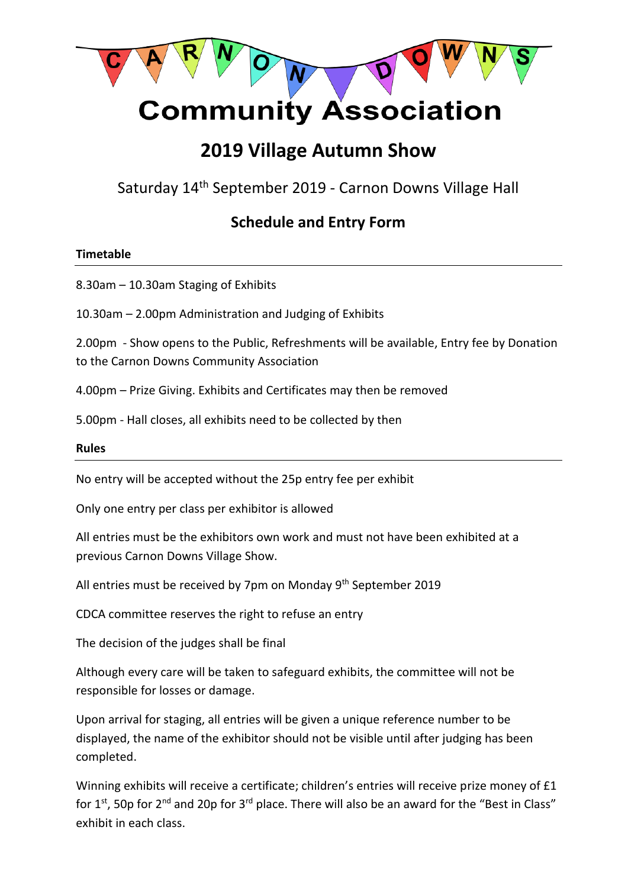

# **Community Association**

## **2019 Village Autumn Show**

Saturday 14th September 2019 - Carnon Downs Village Hall

### **Schedule and Entry Form**

#### **Timetable**

8.30am – 10.30am Staging of Exhibits

10.30am – 2.00pm Administration and Judging of Exhibits

2.00pm - Show opens to the Public, Refreshments will be available, Entry fee by Donation to the Carnon Downs Community Association

4.00pm – Prize Giving. Exhibits and Certificates may then be removed

5.00pm - Hall closes, all exhibits need to be collected by then

#### **Rules**

No entry will be accepted without the 25p entry fee per exhibit

Only one entry per class per exhibitor is allowed

All entries must be the exhibitors own work and must not have been exhibited at a previous Carnon Downs Village Show.

All entries must be received by 7pm on Monday 9<sup>th</sup> September 2019

CDCA committee reserves the right to refuse an entry

The decision of the judges shall be final

Although every care will be taken to safeguard exhibits, the committee will not be responsible for losses or damage.

Upon arrival for staging, all entries will be given a unique reference number to be displayed, the name of the exhibitor should not be visible until after judging has been completed.

Winning exhibits will receive a certificate; children's entries will receive prize money of £1 for 1st, 50p for 2<sup>nd</sup> and 20p for 3<sup>rd</sup> place. There will also be an award for the "Best in Class" exhibit in each class.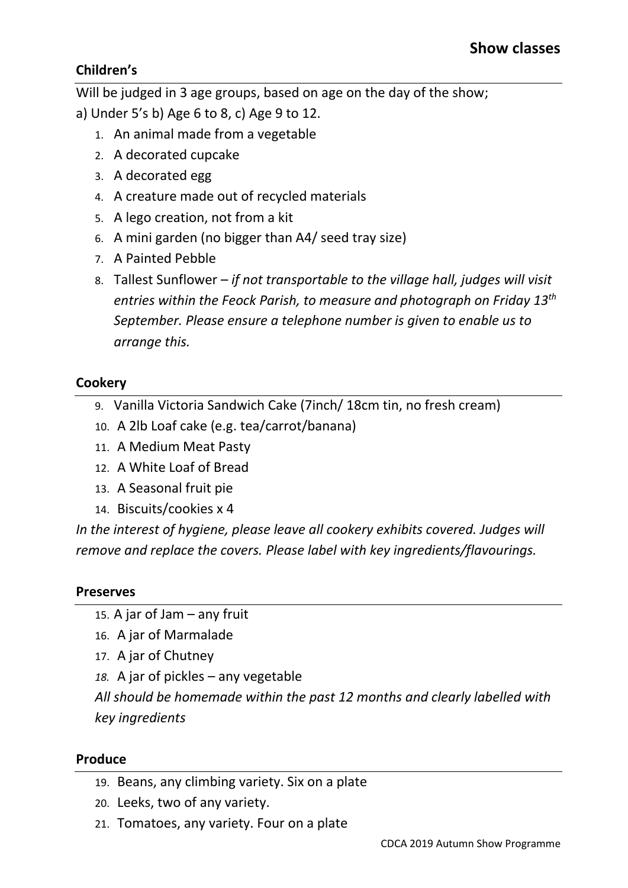#### **Children's**

Will be judged in 3 age groups, based on age on the day of the show;

a) Under 5's b) Age 6 to 8, c) Age 9 to 12.

- 1. An animal made from a vegetable
- 2. A decorated cupcake
- 3. A decorated egg
- 4. A creature made out of recycled materials
- 5. A lego creation, not from a kit
- 6. A mini garden (no bigger than A4/ seed tray size)
- 7. A Painted Pebble
- 8. Tallest Sunflower *if not transportable to the village hall, judges will visit entries within the Feock Parish, to measure and photograph on Friday 13th September. Please ensure a telephone number is given to enable us to arrange this.*

#### **Cookery**

- 9. Vanilla Victoria Sandwich Cake (7inch/ 18cm tin, no fresh cream)
- 10. A 2lb Loaf cake (e.g. tea/carrot/banana)
- 11. A Medium Meat Pasty
- 12. A White Loaf of Bread
- 13. A Seasonal fruit pie
- 14. Biscuits/cookies x 4

In the interest of hygiene, please leave all cookery exhibits covered. Judges will *remove and replace the covers. Please label with key ingredients/flavourings.*

#### **Preserves**

- 15. A jar of Jam any fruit
- 16. A jar of Marmalade
- 17. A jar of Chutney
- *18.* A jar of pickles any vegetable

*All should be homemade within the past 12 months and clearly labelled with key ingredients*

#### **Produce**

- 19. Beans, any climbing variety. Six on a plate
- 20. Leeks, two of any variety.
- 21. Tomatoes, any variety. Four on a plate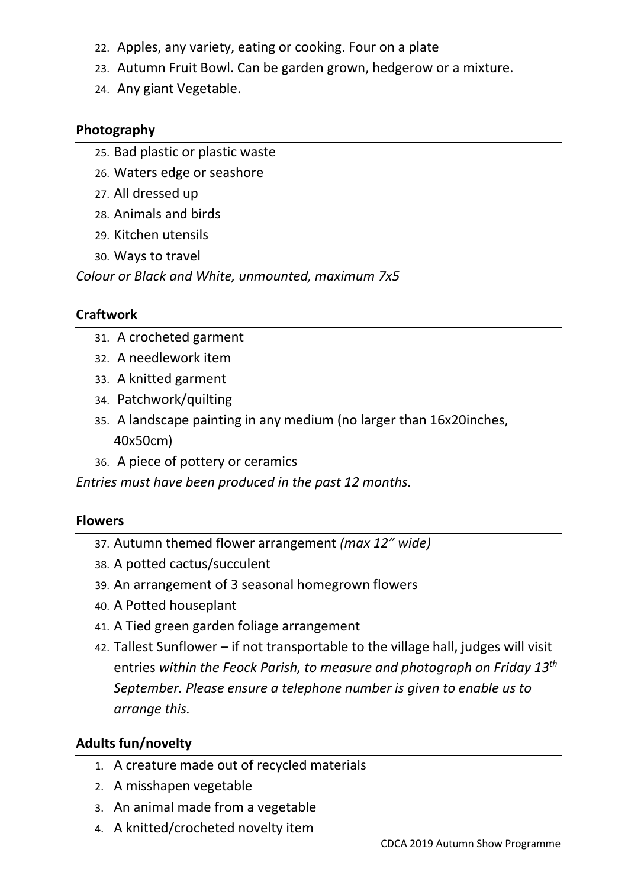- 22. Apples, any variety, eating or cooking. Four on a plate
- 23. Autumn Fruit Bowl. Can be garden grown, hedgerow or a mixture.
- 24. Any giant Vegetable.

#### **Photography**

- 25. Bad plastic or plastic waste
- 26. Waters edge or seashore
- 27. All dressed up
- 28. Animals and birds
- 29. Kitchen utensils
- 30. Ways to travel

*Colour or Black and White, unmounted, maximum 7x5*

### **Craftwork**

- 31. A crocheted garment
- 32. A needlework item
- 33. A knitted garment
- 34. Patchwork/quilting
- 35. A landscape painting in any medium (no larger than 16x20inches, 40x50cm)
- 36. A piece of pottery or ceramics

*Entries must have been produced in the past 12 months.*

#### **Flowers**

- 37. Autumn themed flower arrangement *(max 12" wide)*
- 38. A potted cactus/succulent
- 39. An arrangement of 3 seasonal homegrown flowers
- 40. A Potted houseplant
- 41. A Tied green garden foliage arrangement
- 42. Tallest Sunflower if not transportable to the village hall, judges will visit entries *within the Feock Parish, to measure and photograph on Friday 13th September. Please ensure a telephone number is given to enable us to arrange this.*

#### **Adults fun/novelty**

- 1. A creature made out of recycled materials
- 2. A misshapen vegetable
- 3. An animal made from a vegetable
- 4. A knitted/crocheted novelty item